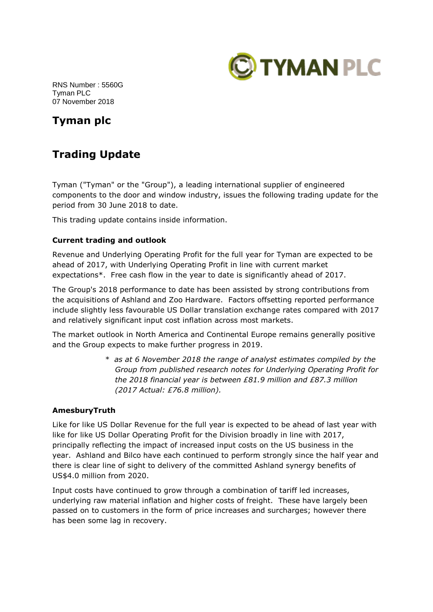

RNS Number : 5560G Tyman PLC 07 November 2018

# **Tyman plc**

# **Trading Update**

Tyman ("Tyman" or the "Group"), a leading international supplier of engineered components to the door and window industry, issues the following trading update for the period from 30 June 2018 to date.

This trading update contains inside information.

## **Current trading and outlook**

Revenue and Underlying Operating Profit for the full year for Tyman are expected to be ahead of 2017, with Underlying Operating Profit in line with current market expectations\*. Free cash flow in the year to date is significantly ahead of 2017.

The Group's 2018 performance to date has been assisted by strong contributions from the acquisitions of Ashland and Zoo Hardware. Factors offsetting reported performance include slightly less favourable US Dollar translation exchange rates compared with 2017 and relatively significant input cost inflation across most markets.

The market outlook in North America and Continental Europe remains generally positive and the Group expects to make further progress in 2019.

> *\* as at 6 November 2018 the range of analyst estimates compiled by the Group from published research notes for Underlying Operating Profit for the 2018 financial year is between £81.9 million and £87.3 million (2017 Actual: £76.8 million).*

## **AmesburyTruth**

Like for like US Dollar Revenue for the full year is expected to be ahead of last year with like for like US Dollar Operating Profit for the Division broadly in line with 2017, principally reflecting the impact of increased input costs on the US business in the year. Ashland and Bilco have each continued to perform strongly since the half year and there is clear line of sight to delivery of the committed Ashland synergy benefits of US\$4.0 million from 2020.

Input costs have continued to grow through a combination of tariff led increases, underlying raw material inflation and higher costs of freight. These have largely been passed on to customers in the form of price increases and surcharges; however there has been some lag in recovery.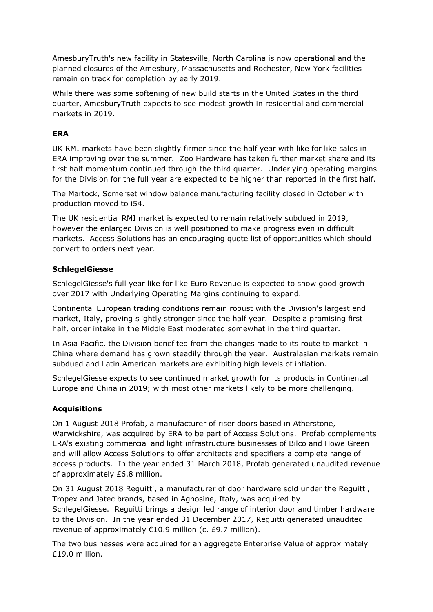AmesburyTruth's new facility in Statesville, North Carolina is now operational and the planned closures of the Amesbury, Massachusetts and Rochester, New York facilities remain on track for completion by early 2019.

While there was some softening of new build starts in the United States in the third quarter, AmesburyTruth expects to see modest growth in residential and commercial markets in 2019.

## **ERA**

UK RMI markets have been slightly firmer since the half year with like for like sales in ERA improving over the summer. Zoo Hardware has taken further market share and its first half momentum continued through the third quarter. Underlying operating margins for the Division for the full year are expected to be higher than reported in the first half.

The Martock, Somerset window balance manufacturing facility closed in October with production moved to i54.

The UK residential RMI market is expected to remain relatively subdued in 2019, however the enlarged Division is well positioned to make progress even in difficult markets. Access Solutions has an encouraging quote list of opportunities which should convert to orders next year.

### **SchlegelGiesse**

SchlegelGiesse's full year like for like Euro Revenue is expected to show good growth over 2017 with Underlying Operating Margins continuing to expand.

Continental European trading conditions remain robust with the Division's largest end market, Italy, proving slightly stronger since the half year. Despite a promising first half, order intake in the Middle East moderated somewhat in the third quarter.

In Asia Pacific, the Division benefited from the changes made to its route to market in China where demand has grown steadily through the year. Australasian markets remain subdued and Latin American markets are exhibiting high levels of inflation.

SchlegelGiesse expects to see continued market growth for its products in Continental Europe and China in 2019; with most other markets likely to be more challenging.

## **Acquisitions**

On 1 August 2018 Profab, a manufacturer of riser doors based in Atherstone, Warwickshire, was acquired by ERA to be part of Access Solutions. Profab complements ERA's existing commercial and light infrastructure businesses of Bilco and Howe Green and will allow Access Solutions to offer architects and specifiers a complete range of access products. In the year ended 31 March 2018, Profab generated unaudited revenue of approximately £6.8 million.

On 31 August 2018 Reguitti, a manufacturer of door hardware sold under the Reguitti, Tropex and Jatec brands, based in Agnosine, Italy, was acquired by SchlegelGiesse. Reguitti brings a design led range of interior door and timber hardware to the Division. In the year ended 31 December 2017, Reguitti generated unaudited revenue of approximately €10.9 million (c. £9.7 million).

The two businesses were acquired for an aggregate Enterprise Value of approximately £19.0 million.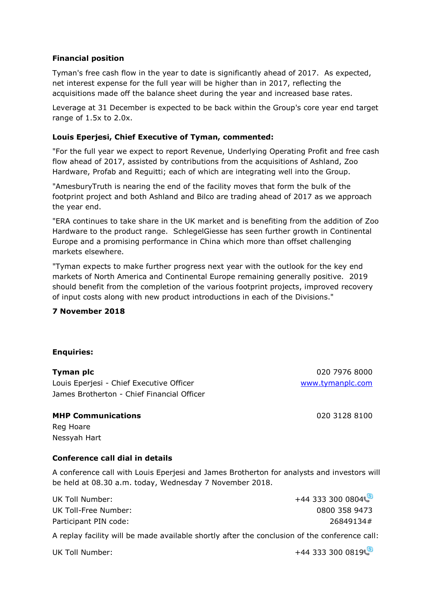## **Financial position**

Tyman's free cash flow in the year to date is significantly ahead of 2017. As expected, net interest expense for the full year will be higher than in 2017, reflecting the acquisitions made off the balance sheet during the year and increased base rates.

Leverage at 31 December is expected to be back within the Group's core year end target range of 1.5x to 2.0x.

#### **Louis Eperjesi, Chief Executive of Tyman, commented:**

"For the full year we expect to report Revenue, Underlying Operating Profit and free cash flow ahead of 2017, assisted by contributions from the acquisitions of Ashland, Zoo Hardware, Profab and Reguitti; each of which are integrating well into the Group.

"AmesburyTruth is nearing the end of the facility moves that form the bulk of the footprint project and both Ashland and Bilco are trading ahead of 2017 as we approach the year end.

"ERA continues to take share in the UK market and is benefiting from the addition of Zoo Hardware to the product range. SchlegelGiesse has seen further growth in Continental Europe and a promising performance in China which more than offset challenging markets elsewhere.

"Tyman expects to make further progress next year with the outlook for the key end markets of North America and Continental Europe remaining generally positive. 2019 should benefit from the completion of the various footprint projects, improved recovery of input costs along with new product introductions in each of the Divisions."

#### **7 November 2018**

#### **Enquiries:**

#### **Tyman plc** 020 7976 8000

Louis Eperjesi - Chief Executive Officer [www.tymanplc.com](http://www.tymanplc.com/) James Brotherton - Chief Financial Officer

#### **MHP Communications** 020 3128 8100

Reg Hoare Nessyah Hart

### **Conference call dial in details**

A conference call with Louis Eperjesi and James Brotherton for analysts and investors will be held at 08.30 a.m. today, Wednesday 7 November 2018.

| UK Toll Number:       | $+44$ 333 300 0804 |
|-----------------------|--------------------|
| UK Toll-Free Number:  | 0800 358 9473      |
| Participant PIN code: | 26849134#          |

A replay facility will be made available shortly after the conclusion of the conference call:

UK Toll Number:  $+44\,333\,300\,0819$  $+44\,333\,300\,0819$